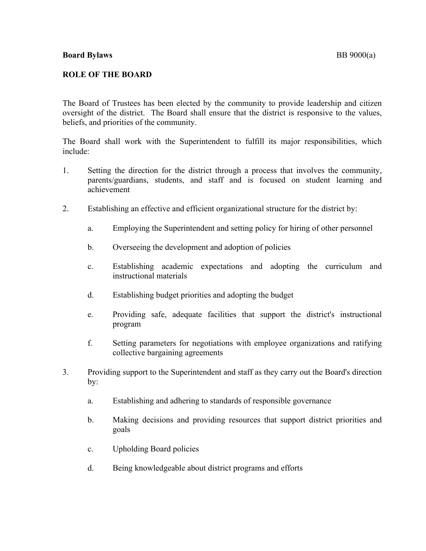## **ROLE OF THE BOARD**

The Board of Trustees has been elected by the community to provide leadership and citizen oversight of the district. The Board shall ensure that the district is responsive to the values, beliefs, and priorities of the community.

The Board shall work with the Superintendent to fulfill its major responsibilities, which include:

- 1. Setting the direction for the district through a process that involves the community, parents/guardians, students, and staff and is focused on student learning and achievement
- 2. Establishing an effective and efficient organizational structure for the district by:
	- a. Employing the Superintendent and setting policy for hiring of other personnel
	- b. Overseeing the development and adoption of policies
	- c. Establishing academic expectations and adopting the curriculum and instructional materials
	- d. Establishing budget priorities and adopting the budget
	- e. Providing safe, adequate facilities that support the district's instructional program
	- f. Setting parameters for negotiations with employee organizations and ratifying collective bargaining agreements
- 3. Providing support to the Superintendent and staff as they carry out the Board's direction by:
	- a. Establishing and adhering to standards of responsible governance
	- b. Making decisions and providing resources that support district priorities and goals
	- c. Upholding Board policies
	- d. Being knowledgeable about district programs and efforts